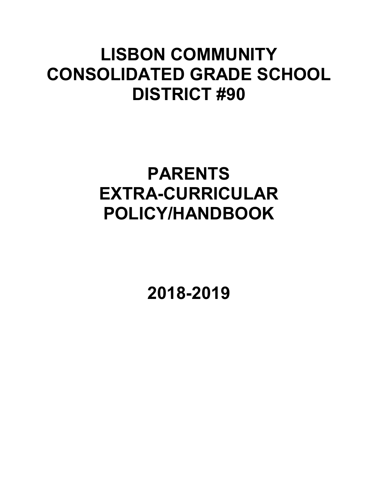## **LISBON COMMUNITY CONSOLIDATED GRADE SCHOOL DISTRICT #90**

## **PARENTS EXTRA-CURRICULAR POLICY/HANDBOOK**

**2018-2019**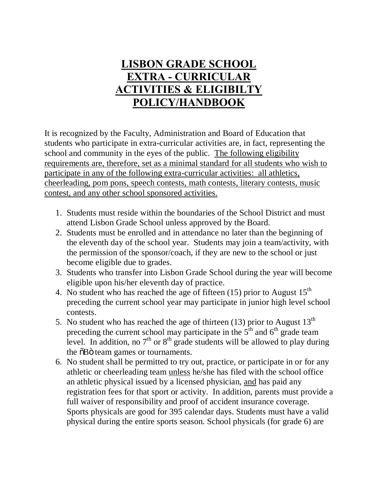## **LISBON GRADE SCHOOL EXTRA - CURRICULAR ACTIVITIES & ELIGIBILTY POLICY/HANDBOOK**

It is recognized by the Faculty, Administration and Board of Education that students who participate in extra-curricular activities are, in fact, representing the school and community in the eyes of the public. The following eligibility requirements are, therefore, set as a minimal standard for all students who wish to participate in any of the following extra-curricular activities: all athletics, cheerleading, pom pons, speech contests, math contests, literary contests, music contest, and any other school sponsored activities.

- 1. Students must reside within the boundaries of the School District and must attend Lisbon Grade School unless approved by the Board.
- 2. Students must be enrolled and in attendance no later than the beginning of the eleventh day of the school year. Students may join a team/activity, with the permission of the sponsor/coach, if they are new to the school or just become eligible due to grades.
- 3. Students who transfer into Lisbon Grade School during the year will become eligible upon his/her eleventh day of practice.
- 4. No student who has reached the age of fifteen  $(15)$  prior to August  $15<sup>th</sup>$ preceding the current school year may participate in junior high level school contests.
- 5. No student who has reached the age of thirteen  $(13)$  prior to August  $13<sup>th</sup>$ preceding the current school may participate in the  $5<sup>th</sup>$  and  $6<sup>th</sup>$  grade team level. In addition, no  $7<sup>th</sup>$  or  $8<sup>th</sup>$  grade students will be allowed to play during the  $\delta$ Bö team games or tournaments.
- 6. No student shall be permitted to try out, practice, or participate in or for any athletic or cheerleading team unless he/she has filed with the school office an athletic physical issued by a licensed physician, and has paid any registration fees for that sport or activity. In addition, parents must provide a full waiver of responsibility and proof of accident insurance coverage. Sports physicals are good for 395 calendar days. Students must have a valid physical during the entire sports season. School physicals (for grade 6) are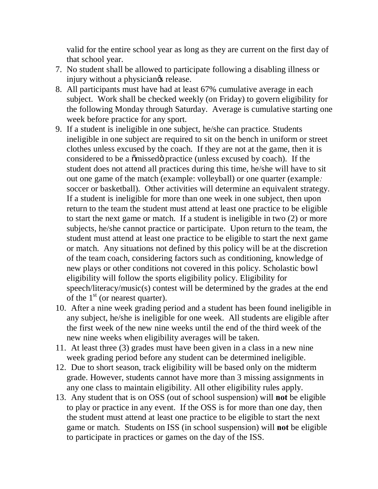valid for the entire school year as long as they are current on the first day of that school year.

- 7. No student shall be allowed to participate following a disabling illness or injury without a physiciang release.
- 8. All participants must have had at least 67% cumulative average in each subject. Work shall be checked weekly (on Friday) to govern eligibility for the following Monday through Saturday. Average is cumulative starting one week before practice for any sport.
- 9. If a student is ineligible in one subject, he/she can practice*.* Students ineligible in one subject are required to sit on the bench in uniform or street clothes unless excused by the coach. If they are not at the game, then it is considered to be a  $\tilde{\text{om}}$  issed practice (unless excused by coach). If the student does not attend all practices during this time, he/she will have to sit out one game of the match (example: volleyball) or one quarter (example*:*  soccer or basketball). Other activities will determine an equivalent strategy. If a student is ineligible for more than one week in one subject, then upon return to the team the student must attend at least one practice to be eligible to start the next game or match. If a student is ineligible in two (2) or more subjects, he/she cannot practice or participate. Upon return to the team, the student must attend at least one practice to be eligible to start the next game or match. Any situations not defined by this policy will be at the discretion of the team coach, considering factors such as conditioning, knowledge of new plays or other conditions not covered in this policy. Scholastic bowl eligibility will follow the sports eligibility policy. Eligibility for speech/literacy/music(s) contest will be determined by the grades at the end of the  $1<sup>st</sup>$  (or nearest quarter).
- 10. After a nine week grading period and a student has been found ineligible in any subject, he/she is ineligible for one week. All students are eligible after the first week of the new nine weeks until the end of the third week of the new nine weeks when eligibility averages will be taken.
- 11. At least three (3) grades must have been given in a class in a new nine week grading period before any student can be determined ineligible.
- 12. Due to short season, track eligibility will be based only on the midterm grade. However, students cannot have more than 3 missing assignments in any one class to maintain eligibility. All other eligibility rules apply.
- 13. Any student that is on OSS (out of school suspension) will **not** be eligible to play or practice in any event. If the OSS is for more than one day, then the student must attend at least one practice to be eligible to start the next game or match.Students on ISS (in school suspension) will **not** be eligible to participate in practices or games on the day of the ISS.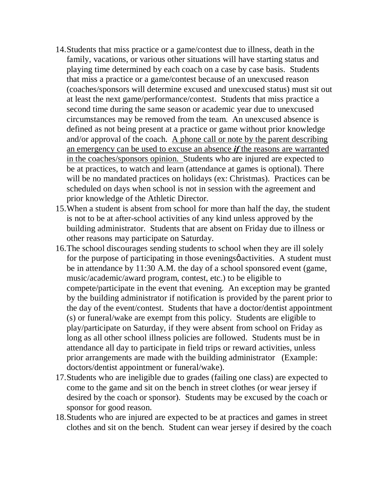- 14.Students that miss practice or a game/contest due to illness, death in the family, vacations, or various other situations will have starting status and playing time determined by each coach on a case by case basis. Students that miss a practice or a game/contest because of an unexcused reason (coaches/sponsors will determine excused and unexcused status) must sit out at least the next game/performance/contest. Students that miss practice a second time during the same season or academic year due to unexcused circumstances may be removed from the team. An unexcused absence is defined as not being present at a practice or game without prior knowledge and/or approval of the coach. A phone call or note by the parent describing an emergency can be used to excuse an absence *if* the reasons are warranted in the coaches/sponsors opinion. Students who are injured are expected to be at practices, to watch and learn (attendance at games is optional). There will be no mandated practices on holidays (ex: Christmas). Practices can be scheduled on days when school is not in session with the agreement and prior knowledge of the Athletic Director.
- 15.When a student is absent from school for more than half the day, the student is not to be at after-school activities of any kind unless approved by the building administrator. Students that are absent on Friday due to illness or other reasons may participate on Saturday.
- 16.The school discourages sending students to school when they are ill solely for the purpose of participating in those evenings o activities. A student must be in attendance by 11:30 A.M. the day of a school sponsored event (game, music/academic/award program, contest, etc.) to be eligible to compete/participate in the event that evening. An exception may be granted by the building administrator if notification is provided by the parent prior to the day of the event/contest. Students that have a doctor/dentist appointment (s) or funeral/wake are exempt from this policy. Students are eligible to play/participate on Saturday, if they were absent from school on Friday as long as all other school illness policies are followed. Students must be in attendance all day to participate in field trips or reward activities, unless prior arrangements are made with the building administrator (Example: doctors/dentist appointment or funeral/wake).
- 17.Students who are ineligible due to grades (failing one class) are expected to come to the game and sit on the bench in street clothes (or wear jersey if desired by the coach or sponsor). Students may be excused by the coach or sponsor for good reason.
- 18.Students who are injured are expected to be at practices and games in street clothes and sit on the bench. Student can wear jersey if desired by the coach